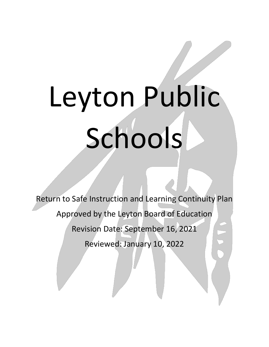## Leyton Public Schools

Return to Safe Instruction and Learning Continuity Plan Approved by the Leyton Board of Education Revision Date: September 16, 2021 Reviewed: January 10, 2022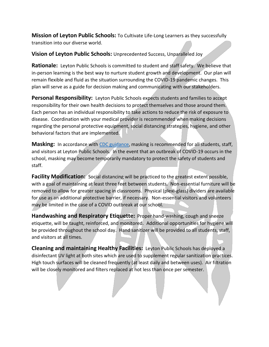**Mission of Leyton Public Schools:** To Cultivate Life-Long Learners as they successfully transition into our diverse world.

**Vision of Leyton Public Schools:** Unprecedented Success, Unparalleled Joy

**Rationale:** Leyton Public Schools is committed to student and staff safety. We believe that in-person learning is the best way to nurture student growth and development. Our plan will remain flexible and fluid as the situation surrounding the COVID-19 pandemic changes. This plan will serve as a guide for decision making and communicating with our stakeholders.

**Personal Responsibility:** Leyton Public Schools expects students and families to accept responsibility for their own health decisions to protect themselves and those around them. Each person has an individual responsibility to take actions to reduce the risk of exposure to disease. Coordination with your medical provider is recommended when making decisions regarding the personal protective equipment, social distancing strategies, hygiene, and other behavioral factors that are implemented.

**Masking:** In accordance with [CDC guidance,](https://www.cdc.gov/coronavirus/2019-ncov/community/schools-childcare/k-12-guidance.html) masking is recommended for all students, staff, and visitors at Leyton Public Schools. In the event that an outbreak of COVID-19 occurs in the school, masking may become temporarily mandatory to protect the safety of students and staff.

Facility Modification: Social distancing will be practiced to the greatest extent possible, with a goal of maintaining at least three feet between students. Non-essential furniture will be removed to allow for greater spacing in classrooms. Physical (plexi-glass) dividers are available for use as an additional protective barrier, if necessary. Non-essential visitors and volunteers may be limited in the case of a COVID outbreak at our school.

**Handwashing and Respiratory Etiquette:** Proper hand-washing, cough and sneeze etiquette, will be taught, reinforced, and monitored. Additional opportunities for hygiene will be provided throughout the school day. Hand sanitizer will be provided to all students, staff, and visitors at all times.

**Cleaning and maintaining Healthy Facilities:** Leyton Public Schools has deployed a disinfectant UV light at both sites which are used to supplement regular sanitization practices. High touch surfaces will be cleaned frequently (at least daily and between uses). Air filtration will be closely monitored and filters replaced at not less than once per semester.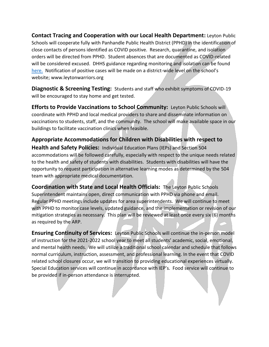**Contact Tracing and Cooperation with our Local Health Department:** Leyton Public Schools will cooperate fully with Panhandle Public Health District (PPHD) in the identification of close contacts of persons identified as COVID positive. Research, quarantine, and isolation orders will be directed from PPHD. Student absences that are documented as COVID-related will be considered excused. DHHS guidance regarding monitoring and isolation can be found [here.](https://dhhs.ne.gov/Documents/COVID-19-Schools-Guidance.pdf) Notification of positive cases will be made on a district-wide level on the school's website; www.leytonwarriors.org

**Diagnostic & Screening Testing:** Students and staff who exhibit symptoms of COVID-19 will be encouraged to stay home and get tested.

**Efforts to Provide Vaccinations to School Community:** Leyton Public Schools will coordinate with PPHD and local medical providers to share and disseminate information on vaccinations to students, staff, and the community. The school will make available space in our buildings to facilitate vaccination clinics when feasible.

**Appropriate Accommodations for Children with Disabilities with respect to Health and Safety Policies:** Individual Education Plans (IEPs) and Section 504 accommodations will be followed carefully, especially with respect to the unique needs related to the health and safety of students with disabilities. Students with disabilities will have the opportunity to request participation in alternative learning modes as determined by the 504 team with appropriate medical documentation.

**Coordination with State and Local Health Officials:** The Leyton Public Schools Superintendent maintains open, direct communication with PPHD via phone and email. Regular PPHD meetings include updates for area superintendents. We will continue to meet with PPHD to monitor case levels, updated guidance, and the implementation or revision of our mitigation strategies as necessary. This plan will be reviewed at least once every six (6) months as required by the ARP.

**Ensuring Continuity of Services:** Leyton Public Schools will continue the in-person model of instruction for the 2021-2022 school year to meet all students' academic, social, emotional, and mental health needs. We will utilize a traditional school calendar and schedule that follows normal curriculum, instruction, assessment, and professional learning. In the event that COVID related school closures occur, we will transition to providing educational experiences virtually. Special Education services will continue in accordance with IEP's. Food service will continue to be provided if in-person attendance is interrupted.